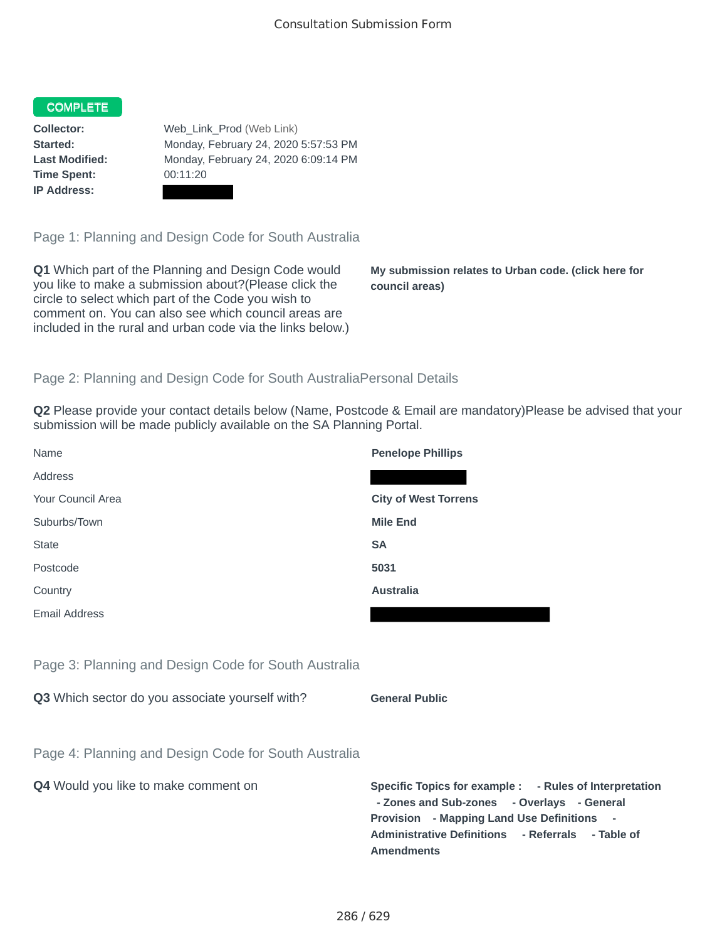## **COMPLETE**

**Time Spent:** 00:11:20 **IP Address:**

**Collector:** Web\_Link\_Prod (Web Link) **Started:** Monday, February 24, 2020 5:57:53 PM **Last Modified:** Monday, February 24, 2020 6:09:14 PM

Page 1: Planning and Design Code for South Australia

**Q1** Which part of the Planning and Design Code would you like to make a submission about?(Please click the circle to select which part of the Code you wish to comment on. You can also see which council areas are included in the rural and urban code via the links below.)

**My submission relates to Urban code. (click here for council areas)**

## Page 2: Planning and Design Code for South AustraliaPersonal Details

**Q2** Please provide your contact details below (Name, Postcode & Email are mandatory)Please be advised that your submission will be made publicly available on the SA Planning Portal.

| Name                                                 | <b>Penelope Phillips</b>                                                                                                                                                                                 |
|------------------------------------------------------|----------------------------------------------------------------------------------------------------------------------------------------------------------------------------------------------------------|
| Address                                              |                                                                                                                                                                                                          |
| Your Council Area                                    | <b>City of West Torrens</b>                                                                                                                                                                              |
| Suburbs/Town                                         | <b>Mile End</b>                                                                                                                                                                                          |
| <b>State</b>                                         | <b>SA</b>                                                                                                                                                                                                |
| Postcode                                             | 5031                                                                                                                                                                                                     |
| Country                                              | <b>Australia</b>                                                                                                                                                                                         |
| <b>Email Address</b>                                 |                                                                                                                                                                                                          |
|                                                      |                                                                                                                                                                                                          |
| Page 3: Planning and Design Code for South Australia |                                                                                                                                                                                                          |
| Q3 Which sector do you associate yourself with?      | <b>General Public</b>                                                                                                                                                                                    |
|                                                      |                                                                                                                                                                                                          |
| Page 4: Planning and Design Code for South Australia |                                                                                                                                                                                                          |
| Q4 Would you like to make comment on                 | Specific Topics for example : - Rules of Interpretation<br>- Zones and Sub-zones - Overlays - General<br>Provision - Mapping Land Use Definitions -<br>Administrative Definitions - Referrals - Table of |

**Amendments**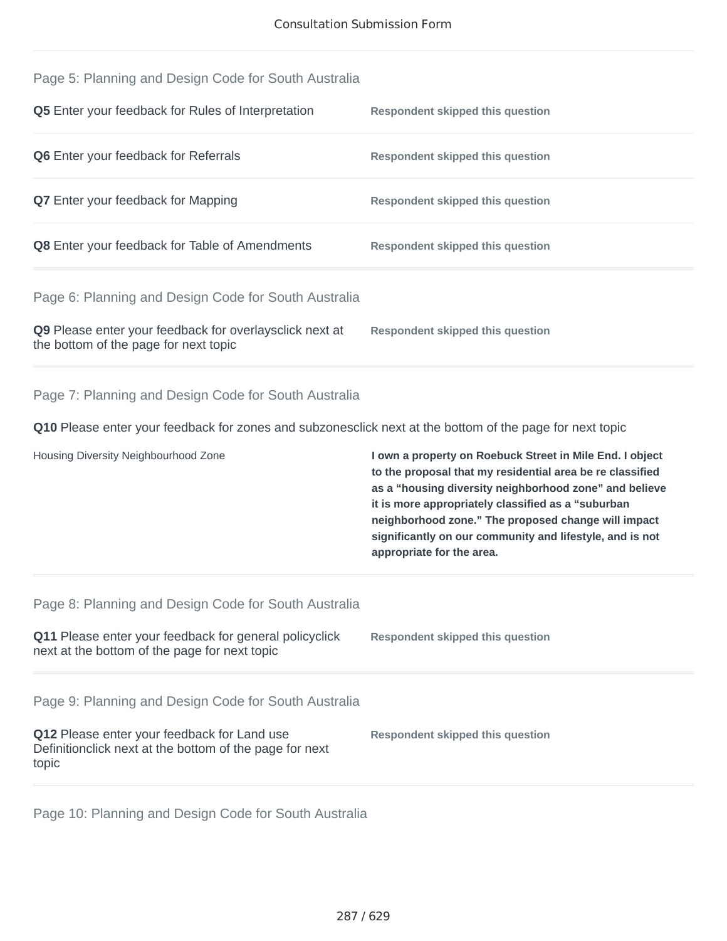| Page 5: Planning and Design Code for South Australia                                                            |                                                                                                                                                                                                                                                                                                                                                                                       |  |  |  |  |
|-----------------------------------------------------------------------------------------------------------------|---------------------------------------------------------------------------------------------------------------------------------------------------------------------------------------------------------------------------------------------------------------------------------------------------------------------------------------------------------------------------------------|--|--|--|--|
| Q5 Enter your feedback for Rules of Interpretation                                                              | <b>Respondent skipped this question</b>                                                                                                                                                                                                                                                                                                                                               |  |  |  |  |
| Q6 Enter your feedback for Referrals                                                                            | <b>Respondent skipped this question</b>                                                                                                                                                                                                                                                                                                                                               |  |  |  |  |
| <b>Q7</b> Enter your feedback for Mapping                                                                       | <b>Respondent skipped this question</b>                                                                                                                                                                                                                                                                                                                                               |  |  |  |  |
| Q8 Enter your feedback for Table of Amendments                                                                  | <b>Respondent skipped this question</b>                                                                                                                                                                                                                                                                                                                                               |  |  |  |  |
| Page 6: Planning and Design Code for South Australia                                                            |                                                                                                                                                                                                                                                                                                                                                                                       |  |  |  |  |
| Q9 Please enter your feedback for overlaysclick next at<br>the bottom of the page for next topic                | <b>Respondent skipped this question</b>                                                                                                                                                                                                                                                                                                                                               |  |  |  |  |
| Page 7: Planning and Design Code for South Australia                                                            |                                                                                                                                                                                                                                                                                                                                                                                       |  |  |  |  |
|                                                                                                                 |                                                                                                                                                                                                                                                                                                                                                                                       |  |  |  |  |
| Q10 Please enter your feedback for zones and subzonesclick next at the bottom of the page for next topic        |                                                                                                                                                                                                                                                                                                                                                                                       |  |  |  |  |
| Housing Diversity Neighbourhood Zone                                                                            | I own a property on Roebuck Street in Mile End. I object<br>to the proposal that my residential area be re classified<br>as a "housing diversity neighborhood zone" and believe<br>it is more appropriately classified as a "suburban<br>neighborhood zone." The proposed change will impact<br>significantly on our community and lifestyle, and is not<br>appropriate for the area. |  |  |  |  |
| Page 8: Planning and Design Code for South Australia                                                            |                                                                                                                                                                                                                                                                                                                                                                                       |  |  |  |  |
| Q11 Please enter your feedback for general policyclick<br>next at the bottom of the page for next topic         | <b>Respondent skipped this question</b>                                                                                                                                                                                                                                                                                                                                               |  |  |  |  |
| Page 9: Planning and Design Code for South Australia                                                            |                                                                                                                                                                                                                                                                                                                                                                                       |  |  |  |  |
| Q12 Please enter your feedback for Land use<br>Definitionclick next at the bottom of the page for next<br>topic | <b>Respondent skipped this question</b>                                                                                                                                                                                                                                                                                                                                               |  |  |  |  |

Page 10: Planning and Design Code for South Australia